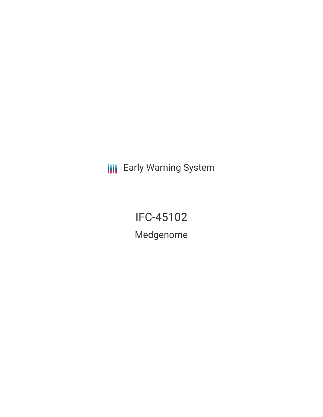**III** Early Warning System

IFC-45102 Medgenome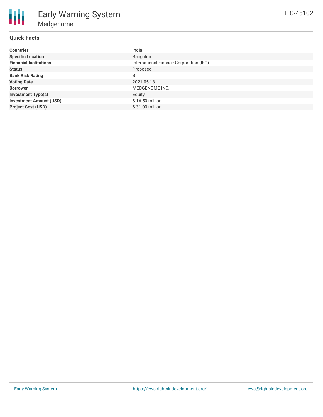| <b>Countries</b>               | India                                   |
|--------------------------------|-----------------------------------------|
| <b>Specific Location</b>       | Bangalore                               |
| <b>Financial Institutions</b>  | International Finance Corporation (IFC) |
| <b>Status</b>                  | Proposed                                |
| <b>Bank Risk Rating</b>        | B                                       |
| <b>Voting Date</b>             | 2021-05-18                              |
| <b>Borrower</b>                | MEDGENOME INC.                          |
| <b>Investment Type(s)</b>      | Equity                                  |
| <b>Investment Amount (USD)</b> | \$16.50 million                         |
| <b>Project Cost (USD)</b>      | \$31.00 million                         |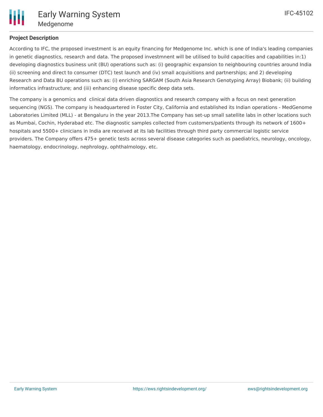

## **Project Description**

According to IFC, the proposed investment is an equity financing for Medgenome Inc. which is one of India's leading companies in genetic diagnostics, research and data. The proposed investmnent will be utilised to build capacities and capabilities in:1) developing diagnostics business unit (BU) operations such as: (i) geographic expansion to neighbouring countries around India (ii) screening and direct to consumer (DTC) test launch and (iv) small acquisitions and partnerships; and 2) developing Research and Data BU operations such as: (i) enriching SARGAM (South Asia Research Genotyping Array) Biobank; (ii) building informatics infrastructure; and (iii) enhancing disease specific deep data sets.

The company is a genomics and clinical data driven diagnostics and research company with a focus on next generation sequencing (NGS). The company is headquartered in Foster City, California and established its Indian operations - MedGenome Laboratories Limited (MLL) - at Bengaluru in the year 2013.The Company has set-up small satellite labs in other locations such as Mumbai, Cochin, Hyderabad etc. The diagnostic samples collected from customers/patients through its network of 1600+ hospitals and 5500+ clinicians in India are received at its lab facilities through third party commercial logistic service providers. The Company offers 475+ genetic tests across several disease categories such as paediatrics, neurology, oncology, haematology, endocrinology, nephrology, ophthalmology, etc.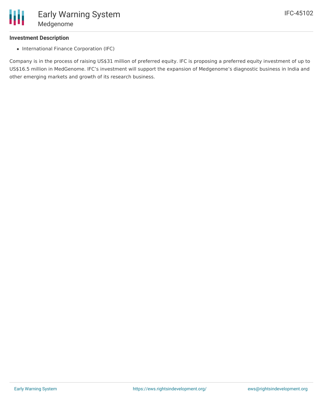Early Warning System Medgenome

## **Investment Description**

Ш

• International Finance Corporation (IFC)

Company is in the process of raising US\$31 million of preferred equity. IFC is proposing a preferred equity investment of up to US\$16.5 million in MedGenome. IFC's investment will support the expansion of Medgenome's diagnostic business in India and other emerging markets and growth of its research business.